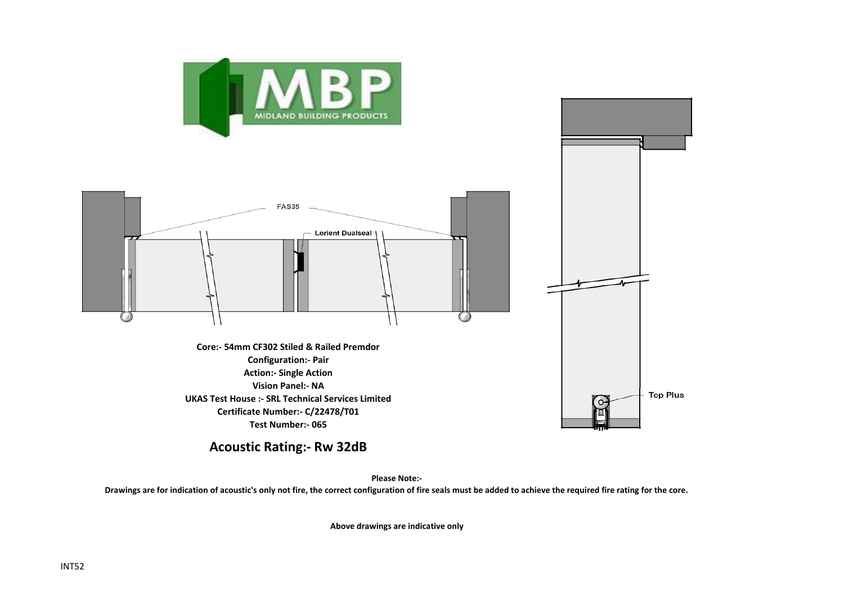



**UKAS Test House :- SRL Technical Services Limited Certificate Number:- C/22478/T01 Test Number:- 065**

**Acoustic Rating:- Rw 32dB**

**Please Note:-** 

**Drawings are for indication of acoustic's only not fire, the correct configuration of fire seals must be added to achieve the required fire rating for the core.**

**Above drawings are indicative only**